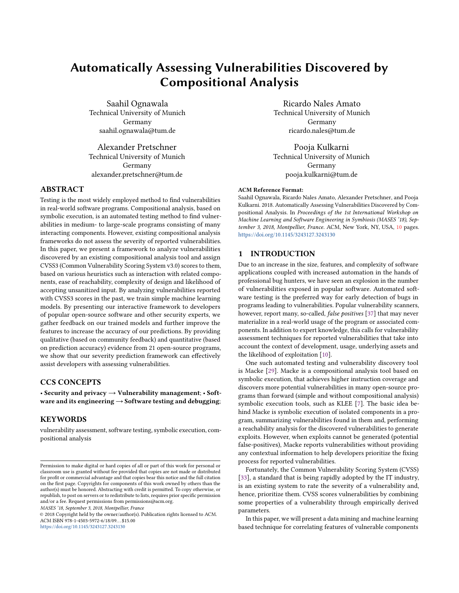# Automatically Assessing Vulnerabilities Discovered by Compositional Analysis

Saahil Ognawala Technical University of Munich Germany saahil.ognawala@tum.de

Alexander Pretschner Technical University of Munich Germany alexander.pretschner@tum.de

# ABSTRACT

Testing is the most widely employed method to find vulnerabilities in real-world software programs. Compositional analysis, based on symbolic execution, is an automated testing method to find vulnerabilities in medium- to large-scale programs consisting of many interacting components. However, existing compositional analysis frameworks do not assess the severity of reported vulnerabilities. In this paper, we present a framework to analyze vulnerabilities discovered by an existing compositional analysis tool and assign CVSS3 (Common Vulnerability Scoring System v3.0) scores to them, based on various heuristics such as interaction with related components, ease of reachability, complexity of design and likelihood of accepting unsanitized input. By analyzing vulnerabilities reported with CVSS3 scores in the past, we train simple machine learning models. By presenting our interactive framework to developers of popular open-source software and other security experts, we gather feedback on our trained models and further improve the features to increase the accuracy of our predictions. By providing qualitative (based on community feedback) and quantitative (based on prediction accuracy) evidence from 21 open-source programs, we show that our severity prediction framework can effectively assist developers with assessing vulnerabilities.

# CCS CONCEPTS

• Security and privacy  $\rightarrow$  Vulnerability management; • Software and its engineering  $\rightarrow$  Software testing and debugging;

# **KEYWORDS**

vulnerability assessment, software testing, symbolic execution, compositional analysis

MASES '18, September 3, 2018, Montpellier, France

© 2018 Copyright held by the owner/author(s). Publication rights licensed to ACM. ACM ISBN 978-1-4503-5972-6/18/09...\$15.00 <https://doi.org/10.1145/3243127.3243130>

Ricardo Nales Amato Technical University of Munich Germany ricardo.nales@tum.de

Pooja Kulkarni Technical University of Munich Germany pooja.kulkarni@tum.de

#### ACM Reference Format:

Saahil Ognawala, Ricardo Nales Amato, Alexander Pretschner, and Pooja Kulkarni. 2018. Automatically Assessing Vulnerabilities Discovered by Compositional Analysis. In Proceedings of the 1st International Workshop on Machine Learning and Software Engineering in Symbiosis (MASES '18), Sep-tember 3, 2018, Montpellier, France. ACM, New York, NY, USA, [10](#page-9-0) pages. <https://doi.org/10.1145/3243127.3243130>

## 1 INTRODUCTION

Due to an increase in the size, features, and complexity of software applications coupled with increased automation in the hands of professional bug hunters, we have seen an explosion in the number of vulnerabilities exposed in popular software. Automated software testing is the preferred way for early detection of bugs in programs leading to vulnerabilities. Popular vulnerability scanners, however, report many, so-called, false positives [\[37\]](#page-9-1) that may never materialize in a real-world usage of the program or associated components. In addition to expert knowledge, this calls for vulnerability assessment techniques for reported vulnerabilities that take into account the context of development, usage, underlying assets and the likelihood of exploitation [\[10\]](#page-9-2).

One such automated testing and vulnerability discovery tool is Macke [\[29\]](#page-9-3). Macke is a compositional analysis tool based on symbolic execution, that achieves higher instruction coverage and discovers more potential vulnerabilities in many open-source programs than forward (simple and without compositional analysis) symbolic execution tools, such as KLEE [\[7\]](#page-9-4). The basic idea behind Macke is symbolic execution of isolated components in a program, summarizing vulnerabilities found in them and, performing a reachability analysis for the discovered vulnerabilities to generate exploits. However, when exploits cannot be generated (potential false-positives), Macke reports vulnerabilities without providing any contextual information to help developers prioritize the fixing process for reported vulnerabilities.

Fortunately, the Common Vulnerability Scoring System (CVSS) [\[33\]](#page-9-5), a standard that is being rapidly adopted by the IT industry, is an existing system to rate the severity of a vulnerability and, hence, prioritize them. CVSS scores vulnerabilities by combining some properties of a vulnerability through empirically derived parameters.

In this paper, we will present a data mining and machine learning based technique for correlating features of vulnerable components

Permission to make digital or hard copies of all or part of this work for personal or classroom use is granted without fee provided that copies are not made or distributed for profit or commercial advantage and that copies bear this notice and the full citation on the first page. Copyrights for components of this work owned by others than the author(s) must be honored. Abstracting with credit is permitted. To copy otherwise, or republish, to post on servers or to redistribute to lists, requires prior specific permission and/or a fee. Request permissions from permissions@acm.org.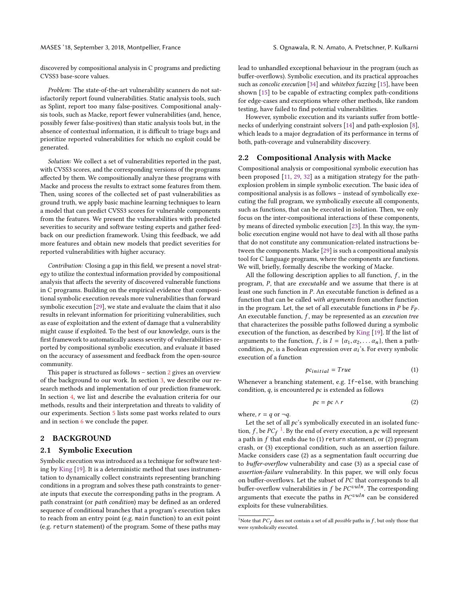discovered by compositional analysis in C programs and predicting CVSS3 base-score values.

Problem: The state-of-the-art vulnerability scanners do not satisfactorily report found vulnerabilities. Static analysis tools, such as Splint, report too many false-positives. Compositional analysis tools, such as Macke, report fewer vulnerabilities (and, hence, possibly fewer false-positives) than static analysis tools but, in the absence of contextual information, it is difficult to triage bugs and prioritize reported vulnerabilities for which no exploit could be generated.

Solution: We collect a set of vulnerabilities reported in the past, with CVSS3 scores, and the corresponding versions of the programs affected by them. We compositionally analyze these programs with Macke and process the results to extract some features from them. Then, using scores of the collected set of past vulnerabilities as ground truth, we apply basic machine learning techniques to learn a model that can predict CVSS3 scores for vulnerable components from the features. We present the vulnerabilities with predicted severities to security and software testing experts and gather feedback on our prediction framework. Using this feedback, we add more features and obtain new models that predict severities for reported vulnerabilities with higher accuracy.

Contribution: Closing a gap in this field, we present a novel strategy to utilize the contextual information provided by compositional analysis that affects the severity of discovered vulnerable functions in C programs. Building on the empirical evidence that compositional symbolic execution reveals more vulnerabilities than forward symbolic execution [\[29\]](#page-9-3), we state and evaluate the claim that it also results in relevant information for prioritizing vulnerabilities, such as ease of exploitation and the extent of damage that a vulnerability might cause if exploited. To the best of our knowledge, ours is the first framework to automatically assess severity of vulnerabilities reported by compositional symbolic execution, and evaluate it based on the accuracy of assessment and feedback from the open-source community.

This paper is structured as follows – section [2](#page-1-0) gives an overview of the background to our work. In section [3,](#page-2-0) we describe our research methods and implementation of our prediction framework. In section [4,](#page-5-0) we list and describe the evaluation criteria for our methods, results and their interpretation and threats to validity of our experiments. Section [5](#page-8-0) lists some past works related to ours and in section [6](#page-9-6) we conclude the paper.

#### <span id="page-1-0"></span>2 BACKGROUND

# 2.1 Symbolic Execution

Symbolic execution was introduced as a technique for software testing by [King](#page-9-7) [\[19\]](#page-9-7). It is a deterministic method that uses instrumentation to dynamically collect constraints representing branching conditions in a program and solves these path constraints to generate inputs that execute the corresponding paths in the program. A path constraint (or path condition) may be defined as an ordered sequence of conditional branches that a program's execution takes to reach from an entry point (e.g. main function) to an exit point (e.g. return statement) of the program. Some of these paths may

lead to unhandled exceptional behaviour in the program (such as buffer-overflows). Symbolic execution, and its practical approaches such as concolic execution [\[34\]](#page-9-8) and whitebox fuzzing [\[15\]](#page-9-9), have been shown [\[15\]](#page-9-9) to be capable of extracting complex path-conditions for edge-cases and exceptions where other methods, like random testing, have failed to find potential vulnerabilities.

However, symbolic execution and its variants suffer from bottlenecks of underlying constraint solvers [\[14\]](#page-9-10) and path-explosion [\[8\]](#page-9-11), which leads to a major degradation of its performance in terms of both, path-coverage and vulnerability discovery.

#### <span id="page-1-2"></span>2.2 Compositional Analysis with Macke

Compositional analysis or compositional symbolic execution has been proposed [\[11,](#page-9-12) [29,](#page-9-3) [32\]](#page-9-13) as a mitigation strategy for the pathexplosion problem in simple symbolic execution. The basic idea of compositional analysis is as follows – instead of symbolically executing the full program, we symbolically execute all components, such as functions, that can be executed in isolation. Then, we only focus on the inter-compositional interactions of these components, by means of directed symbolic execution [\[23\]](#page-9-14). In this way, the symbolic execution engine would not have to deal with all those paths that do not constitute any communication-related instructions between the components. Macke [\[29\]](#page-9-3) is such a compositional analysis tool for C language programs, where the components are functions. We will, briefly, formally describe the working of Macke.

All the following description applies to all function,  $f$ , in the program, P, that are executable and we assume that there is at least one such function in P. An executable function is defined as a function that can be called with arguments from another function in the program. Let, the set of all executable functions in  $P$  be  $F_P$ . An executable function,  $f$ , may be represented as an execution tree that characterizes the possible paths followed during a symbolic execution of the function, as described by [King](#page-9-7) [\[19\]](#page-9-7). If the list of arguments to the function, f, is  $I = {\alpha_1, \alpha_2, \dots \alpha_n}$ , then a pathcondition,  $pc$ , is a Boolean expression over  $\alpha_i$ 's. For every symbolic execution of a function execution of a function

$$
pc_{initial} = True
$$
 (1)

Whenever a branching statement, e.g. If-else, with branching condition,  $q$ , is encountered  $pc$  is extended as follows

$$
pc = pc \wedge r \tag{2}
$$

where,  $r = q$  or  $\neg q$ .

Let the set of all pc's symbolically executed in an isolated function, f, be  $PC_f^{-1}$  $PC_f^{-1}$  $PC_f^{-1}$ . By the end of every execution, a pc will represent<br>a path in f, that ends due to (1) return statement, or (2) program a path in  $f$  that ends due to (1) return statement, or (2) program crash, or (3) exceptional condition, such as an assertion failure. Macke considers case (2) as a segmentation fault occurring due to buffer-overflow vulnerability and case (3) as a special case of assertion-failure vulnerability. In this paper, we will only focus on buffer-overflows. Let the subset of *PC* that corresponds to all buffer-overflow vulnerabilities in *f* be  $PC^{vuln}$ . The corresponding buffer-overflow vulnerabilities in f be  $PC^{vuh}$ . The corresponding<br>examines that execute the paths in  $PC^{vuh}$  can be considered arguments that execute the paths in  $PC^{vuh}$  can be considered<br>exploits for these vulnerabilities exploits for these vulnerabilities.

<span id="page-1-1"></span><sup>&</sup>lt;sup>1</sup>Note that  $PC_f$  does not contain a set of all *possible* paths in f, but only those that were symbolically executed.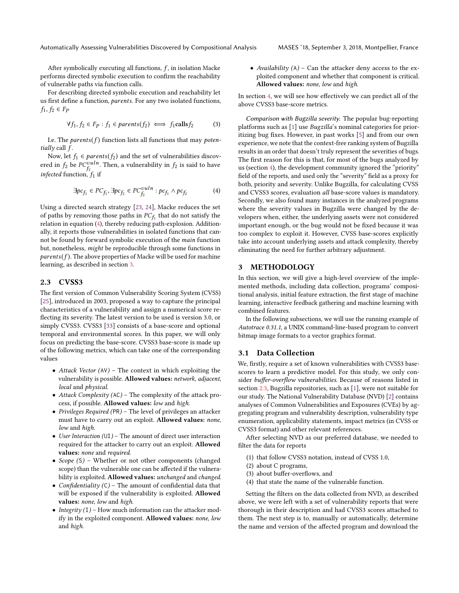After symbolically executing all functions,  $f$ , in isolation Macke performs directed symbolic execution to confirm the reachability of vulnerable paths via function calls.

For describing directed symbolic execution and reachability let us first define a function, parents. For any two isolated functions,  $f_1, f_2 \in F_P$ 

$$
\forall f_1, f_2 \in F_P : f_1 \in parents(f_2) \iff f_1 \text{ calls } f_2 \tag{3}
$$

I.e. The parents(f) function lists all functions that may potentially call  $f$ .

Now, let  $f_1 \in parents(f_2)$  and the set of vulnerabilities discovered in  $f_2$  be  $PC^{vuh}_{f_2}$ . Then, a vulnerability in  $f_2$  is said to have infected function,  $f_1$  if

$$
\exists pc_{f_1} \in PC_{f_1}, \exists pc_{f_2} \in PC_{f_2}^{vuln} : pc_{f_1} \wedge pc_{f_2}
$$
 (4)

Using a directed search strategy [\[23,](#page-9-14) [24\]](#page-9-15), Macke reduces the set of paths by removing those paths in  $PC_{f_1}$  that do not satisfy the relation in equation (A) thereby reducing path-explosion. Addition, relation in equation [\(4\)](#page-2-1), thereby reducing path-explosion. Additionally, it reports those vulnerabilities in isolated functions that cannot be found by forward symbolic execution of the main function but, nonetheless, might be reproducible through some functions in  $parents(f)$ . The above properties of Macke will be used for machine learning, as described in section [3.](#page-2-0)

#### <span id="page-2-2"></span>2.3 CVSS3

The first version of Common Vulnerability Scoring System (CVSS) [\[25\]](#page-9-16), introduced in 2003, proposed a way to capture the principal characteristics of a vulnerability and assign a numerical score reflecting its severity. The latest version to be used is version 3.0, or simply CVSS3. CVSS3 [\[33\]](#page-9-5) consists of a base-score and optional temporal and environmental scores. In this paper, we will only focus on predicting the base-score. CVSS3 base-score is made up of the following metrics, which can take one of the corresponding values

- Attack Vector (AV) The context in which exploiting the vulnerability is possible. Allowed values: network, adjacent, local and physical.
- Attack Complexity (AC) The complexity of the attack process, if possible. Allowed values: low and high.
- Privileges Required (PR) The level of privileges an attacker must have to carry out an exploit. Allowed values: none, low and high.
- User Interaction (UI) The amount of direct user interaction required for the attacker to carry out an exploit. Allowed values: none and required.
- Scope (S) Whether or not other components (changed scope) than the vulnerable one can be affected if the vulnerability is exploited. Allowed values: unchanged and changed.
- Confidentiality  $(C)$  The amount of confidential data that will be exposed if the vulnerability is exploited. Allowed values: none, low and high.
- *Integrity* (I) How much information can the attacker modify in the exploited component. Allowed values: none, low and high.

• Availability  $(A)$  – Can the attacker deny access to the exploited component and whether that component is critical. Allowed values: none, low and high.

In section [4,](#page-5-0) we will see how effectively we can predict all of the above CVSS3 base-score metrics.

<span id="page-2-1"></span>Comparison with Bugzilla severity. The popular bug-reporting platforms such as [\[1\]](#page-9-17) use Bugzilla's nominal categories for prioritizing bug fixes. However, in past works [\[5\]](#page-9-18) and from our own experience, we note that the context-free ranking system of Bugzilla results in an order that doesn't truly represent the severities of bugs. The first reason for this is that, for most of the bugs analyzed by us (section [4\)](#page-5-0), the development community ignored the "priority" field of the reports, and used only the "severity" field as a proxy for both, priority and severity. Unlike Bugzilla, for calculating CVSS and CVSS3 scores, evaluation all base-score values is mandatory. Secondly, we also found many instances in the analyzed programs where the severity values in Bugzilla were changed by the developers when, either, the underlying assets were not considered important enough, or the bug would not be fixed because it was too complex to exploit it. However, CVSS base-scores explicitly take into account underlying assets and attack complexity, thereby eliminating the need for further arbitrary adjustment.

# <span id="page-2-0"></span>3 METHODOLOGY

In this section, we will give a high-level overview of the implemented methods, including data collection, programs' compositional analysis, initial feature extraction, the first stage of machine learning, interactive feedback gathering and machine learning with combined features.

In the following subsections, we will use the running example of Autotrace 0.31.1, a UNIX command-line-based program to convert bitmap image formats to a vector graphics format.

#### <span id="page-2-3"></span>3.1 Data Collection

We, firstly, require a set of known vulnerabilities with CVSS3 basescores to learn a predictive model. For this study, we only consider buffer-overflow vulnerabilities. Because of reasons listed in section [2.3,](#page-2-2) Bugzilla repositories, such as [\[1\]](#page-9-17), were not suitable for our study. The National Vulnerability Database (NVD) [\[2\]](#page-9-19) contains analyses of Common Vulnerabilities and Exposures (CVEs) by aggregating program and vulnerability description, vulnerability type enumeration, applicability statements, impact metrics (in CVSS or CVSS3 format) and other relevant references.

After selecting NVD as our preferred database, we needed to filter the data for reports

- (1) that follow CVSS3 notation, instead of CVSS 1.0,
- (2) about C programs,
- (3) about buffer-overflows, and
- (4) that state the name of the vulnerable function.

Setting the filters on the data collected from NVD, as described above, we were left with a set of vulnerability reports that were thorough in their description and had CVSS3 scores attached to them. The next step is to, manually or automatically, determine the name and version of the affected program and download the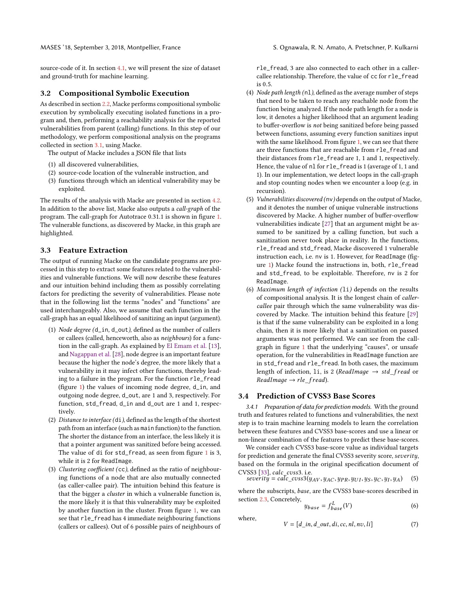source-code of it. In section [4.1,](#page-5-1) we will present the size of dataset and ground-truth for machine learning.

#### 3.2 Compositional Symbolic Execution

As described in section [2.2,](#page-1-2) Macke performs compositional symbolic execution by symbolically executing isolated functions in a program and, then, performing a reachability analysis for the reported vulnerabilities from parent (calling) functions. In this step of our methodology, we perform compositional analysis on the programs collected in section [3.1,](#page-2-3) using Macke.

The output of Macke includes a JSON file that lists

- (1) all discovered vulnerabilities,
- (2) source-code location of the vulnerable instruction, and
- (3) functions through which an identical vulnerability may be exploited.

The results of the analysis with Macke are presented in section [4.2.](#page-6-0) In addition to the above list, Macke also outputs a call-graph of the program. The call-graph for Autotrace 0.31.1 is shown in figure [1.](#page-4-0) The vulnerable functions, as discovered by Macke, in this graph are highlighted.

#### <span id="page-3-3"></span>3.3 Feature Extraction

The output of running Macke on the candidate programs are processed in this step to extract some features related to the vulnerabilities and vulnerable functions. We will now describe these features and our intuition behind including them as possibly correlating factors for predicting the severity of vulnerabilities. Please note that in the following list the terms "nodes" and "functions" are used interchangeably. Also, we assume that each function in the call-graph has an equal likelihood of sanitizing an input (argument).

- (1) Node degree (d\_in, d\_out), defined as the number of callers or callees (called, henceworth, also as neighbours) for a function in the call-graph. As explained by [El Emam et al.](#page-9-20) [\[13\]](#page-9-20), and [Nagappan et al.](#page-9-21) [\[28\]](#page-9-21), node degree is an important feature because the higher the node's degree, the more likely that a vulnerability in it may infect other functions, thereby leading to a failure in the program. For the function rle\_fread (figure [1\)](#page-4-0) the values of incoming node degree, d\_in, and outgoing node degree, d\_out, are 1 and 3, respectively. For function, std\_fread, d\_in and d\_out are 1 and 1, respectively.
- (2) Distance to interface (di), defined as the length of the shortest path from an interface (such as main function) to the function. The shorter the distance from an interface, the less likely it is that a pointer argument was sanitized before being accessed. The value of di for std\_fread, as seen from figure [1](#page-4-0) is 3, while it is 2 for ReadImage.
- (3) Clustering coefficient (cc), defined as the ratio of neighbouring functions of a node that are also mutually connected (as caller-callee pair). The intuition behind this feature is that the bigger a cluster in which a vulnerable function is, the more likely it is that this vulnerability may be exploited by another function in the cluster. From figure [1,](#page-4-0) we can see that rle\_fread has 4 immediate neighbouring functions (callers or callees). Out of 6 possible pairs of neighbours of

rle fread, 3 are also connected to each other in a callercallee relationship. Therefore, the value of cc for rle\_fread is <sup>0</sup>.5.

- (4) Node path length (nl), defined as the average number of steps that need to be taken to reach any reachable node from the function being analyzed. If the node path length for a node is low, it denotes a higher likelihood that an argument leading to buffer-overflow is not being sanitized before being passed between functions, assuming every function sanitizes input with the same likelihood. From figure [1,](#page-4-0) we can see that there are three functions that are reachable from rle\_fread and their distances from rle\_fread are 1, 1 and 1, respectively. Hence, the value of nl for rle\_fread is 1 (average of 1, 1 and 1). In our implementation, we detect loops in the call-graph and stop counting nodes when we encounter a loop (e.g. in recursion).
- (5) Vulnerabilities discovered (nv) depends on the output of Macke, and it denotes the number of unique vulnerable instructions discovered by Macke. A higher number of buffer-overflow vulnerabilities indicate [\[27\]](#page-9-22) that an argument might be assumed to be sanitized by a calling function, but such a sanitization never took place in reality. In the functions, rle\_fread and std\_fread, Macke discovered 1 vulnerable instruction each, i.e. nv is 1. However, for ReadImage (figure [1\)](#page-4-0) Macke found the instructions in, both, rle\_fread and std\_fread, to be exploitable. Therefore, nv is 2 for ReadImage.
- (6) Maximum length of infection (li) depends on the results of compositional analysis. It is the longest chain of callercallee pair through which the same vulnerability was discovered by Macke. The intuition behind this feature [\[29\]](#page-9-3) is that if the same vulnerability can be exploited in a long chain, then it is more likely that a sanitization on passed arguments was not performed. We can see from the callgraph in figure [1](#page-4-0) that the underlying "causes", or unsafe operation, for the vulnerabilities in ReadImage function are in std\_fread and rle\_fread. In both cases, the maximum length of infection, 1i, is 2 (ReadImage  $\rightarrow$  std\_fread or  $ReadImage \rightarrow rle\_freq$ ).

#### <span id="page-3-2"></span>3.4 Prediction of CVSS3 Base Scores

3.4.1 Preparation of data for prediction models. With the ground truth and features related to functions and vulnerabilities, the next step is to train machine learning models to learn the correlation between these features and CVSS3 base-scores and use a linear or non-linear combination of the features to predict these base-scores.

We consider each CVSS3 base-score value as individual targets for prediction and generate the final CVSS3 severity score, severity, based on the formula in the original specification document of CVSS3 [\[33\]](#page-9-5), calc\_cvss3. i.e.

$$
severit\ddot{y} = calc\_cross3(y_{AV}, y_{AC}, y_{PR}, y_{UI}, y_{S}, y_{C}, y_{I}, y_{A})
$$
 (5)

where the subscripts, *base*, are the CVSS3 base-scores described in section 2.3, Concretely, section [2.3,](#page-2-2) Concretely,

<span id="page-3-1"></span><span id="page-3-0"></span>
$$
y_{base} = f_{base}^L(V) \tag{6}
$$

where,

$$
V = [d\_in, d\_out, di, cc, nl, nv, li]
$$
\n(7)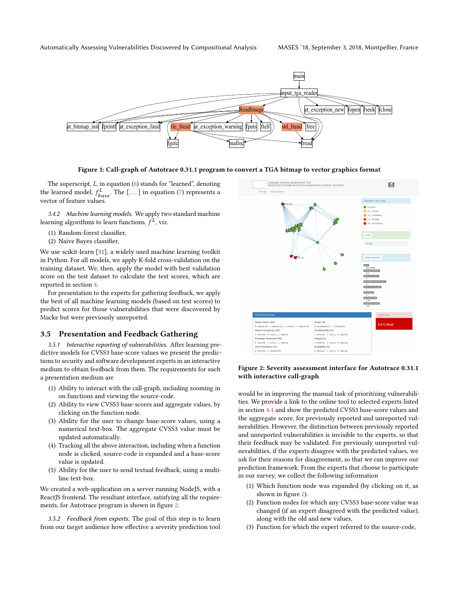<span id="page-4-0"></span>

Figure 1: Call-graph of Autotrace 0.31.1 program to convert a TGA bitmap to vector graphics format

The superscript, L, in equation [\(6\)](#page-3-0) stands for "learned", denoting the learned model,  $f_{base}^L$ . The [...] in equation [\(7\)](#page-3-1) represents a vector of feature values. vector of feature values.

3.4.2 Machine learning models. We apply two standard machine learning algorithms to learn functions,  $f^L$ , viz.

- (1) Random-forest classifier,
- (2) Naive Bayes classifier,

We use scikit-learn [\[31\]](#page-9-23), a widely used machine learning toolkit in Python. For all models, we apply K-fold cross-validation on the training dataset. We, then, apply the model with best validation score on the test dataset to calculate the test scores, which are reported in section [4.](#page-5-0)

For presentation to the experts for gathering feedback, we apply the best of all machine learning models (based on test scores) to predict scores for those vulnerabilities that were discovered by Macke but were previously unreported.

#### <span id="page-4-2"></span>3.5 Presentation and Feedback Gathering

3.5.1 Interactive reporting of vulnerabilities. After learning predictive models for CVSS3 base-score values we present the predictions to security and software development experts in an interactive medium to obtain feedback from them. The requirements for such a presentation medium are

- (1) Ability to interact with the call-graph, including zooming in on functions and viewing the source-code.
- (2) Ability to view CVSS3 base-scores and aggregate values, by clicking on the function node.
- (3) Ability for the user to change base-score values, using a numerical text-box. The aggregate CVSS3 value must be updated automatically.
- (4) Tracking all the above interaction, including when a function node is clicked, source-code is expanded and a base-score value is updated.
- (5) Ability for the user to send textual feedback, using a multiline text-box.

We created a web-application on a server running NodeJS, with a ReactJS frontend. The resultant interface, satisfying all the requirements, for Autotrace program is shown in figure [2.](#page-4-1)

3.5.2 Feedback from experts. The goal of this step is to learn from our target audience how effective a severity prediction tool

<span id="page-4-1"></span>

#### Figure 2: Severity assessment interface for Autotrace 0.31.1 with interactive call-graph

would be in improving the manual task of prioritizing vulnerabilities. We provide a link to the online tool to selected experts listed in section [4.4](#page-6-1) and show the predicted CVSS3 base-score values and the aggregate score, for previously reported and unreported vulnerabilities. However, the distinction between previously reported and unreported vulnerabilities is invisible to the experts, so that their feedback may be validated. For previously unreported vulnerabilities, if the experts disagree with the predicted values, we ask for their reasons for disagreement, so that we can improve our prediction framework. From the experts that choose to participate in our survey, we collect the following information

- (1) Which function node was expanded (by clicking on it, as shown in figure [2\)](#page-4-1).
- (2) Function nodes for which any CVSS3 base-score value was changed (if an expert disagreed with the predicted value), along with the old and new values,
- (3) Function for which the expert referred to the source-code,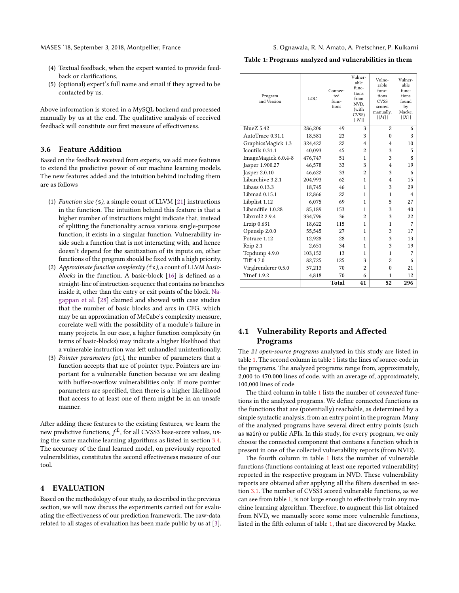- MASES '18, September 3, 2018, Montpellier, France S. Ognawala, R. N. Amato, A. Pretschner, P. Kulkarni
	- (4) Textual feedback, when the expert wanted to provide feedback or clarifications,
	- (5) (optional) expert's full name and email if they agreed to be contacted by us.

Above information is stored in a MySQL backend and processed manually by us at the end. The qualitative analysis of received feedback will constitute our first measure of effectiveness.

# <span id="page-5-3"></span>3.6 Feature Addition

Based on the feedback received from experts, we add more features to extend the predictive power of our machine learning models. The new features added and the intuition behind including them are as follows

- (1) Function size  $(s)$ , a simple count of LLVM [\[21\]](#page-9-24) instructions in the function. The intuition behind this feature is that a higher number of instructions might indicate that, instead of splitting the functionality across various single-purpose function, it exists in a singular function. Vulnerability inside such a function that is not interacting with, and hence doesn't depend for the sanitization of its inputs on, other functions of the program should be fixed with a high priority.
- (2) Approximate function complexity (fx), a count of LLVM basicblocks in the function. A basic-block [\[16\]](#page-9-25) is defined as a straight-line of instruction-sequence that contains no branches inside it, other than the entry or exit points of the block. [Na](#page-9-21)[gappan et al.](#page-9-21) [\[28\]](#page-9-21) claimed and showed with case studies that the number of basic blocks and arcs in CFG, which may be an approximation of McCabe's complexity measure, correlate well with the possibility of a module's failure in many projects. In our case, a higher function complexity (in terms of basic-blocks) may indicate a higher likelihood that a vulnerable instruction was left unhandled unintentionally.
- (3) Pointer parameters (pt), the number of parameters that a function accepts that are of pointer type. Pointers are important for a vulnerable function because we are dealing with buffer-overflow vulnerabilities only. If more pointer parameters are specified, then there is a higher likelihood that access to at least one of them might be in an unsafe manner.

After adding these features to the existing features, we learn the new predictive functions,  $f^L$ , for all CVSS3 base-score values, us-<br>ing the same machine learning algorithms as listed in section 3.4. ing the same machine learning algorithms as listed in section [3.4.](#page-3-2) The accuracy of the final learned model, on previously reported vulnerabilities, constitutes the second effectiveness measure of our tool.

#### <span id="page-5-0"></span>4 EVALUATION

Based on the methodology of our study, as described in the previous section, we will now discuss the experiments carried out for evaluating the effectiveness of our prediction framework. The raw-data related to all stages of evaluation has been made public by us at [\[3\]](#page-9-26).

#### <span id="page-5-2"></span>Table 1: Programs analyzed and vulnerabilities in them

| Program<br>and Version | LOC     | Connec-<br>ted<br>func-<br>tions | Vulner-<br>able<br>func-<br>tions<br>from<br>NVD. | Vulne-<br>rable<br>func-<br>tions<br><b>CVSS</b><br>scored | Vulner-<br>able<br>func-<br>tions<br>found<br>by |
|------------------------|---------|----------------------------------|---------------------------------------------------|------------------------------------------------------------|--------------------------------------------------|
|                        |         |                                  | (with<br>CVSS)<br>  N                             | manually,<br>  M                                           | Macke,<br>  X                                    |
| BlueZ 5.42             | 286,206 | 49                               | 3                                                 | 2                                                          | 6                                                |
| AutoTrace 0.31.1       | 18,581  | 23                               | 3                                                 | $\Omega$                                                   | 3                                                |
| GraphicsMagick 1.3     | 324,422 | 22                               | 4                                                 | 4                                                          | 10                                               |
| Icoutils 0.31.1        | 40.093  | 45                               | $\overline{c}$                                    | 3                                                          | 5                                                |
| ImageMagick 6.0.4-8    | 476,747 | 51                               | 1                                                 | 3                                                          | 8                                                |
| Jasper 1.900.27        | 46,578  | 33                               | 3                                                 | $\overline{4}$                                             | 19                                               |
| Jasper 2.0.10          | 46,622  | 33                               | $\overline{c}$                                    | 3                                                          | 6                                                |
| Libarchive 3.2.1       | 204,993 | 62                               | 1                                                 | $\overline{\mathbf{4}}$                                    | 15                                               |
| Libass 0.13.3          | 18,745  | 46                               | 1                                                 | 3                                                          | 29                                               |
| Libmad 0.15.1          | 12.866  | 22                               | 1                                                 | 1                                                          | $\overline{4}$                                   |
| Libplist 1.12          | 6,075   | 69                               | 1                                                 | 5                                                          | 27                                               |
| Libsndfile 1.0.28      | 85,189  | 153                              | 1                                                 | 3                                                          | 40                                               |
| Libxml2 2.9.4          | 334,796 | 36                               | $\overline{c}$                                    | 3                                                          | 22                                               |
| Lrzip $0.631$          | 18,622  | 115                              | 1                                                 | 1                                                          | 7                                                |
| Openslp 2.0.0          | 55,545  | 27                               | 1                                                 | 3                                                          | 17                                               |
| Potrace 1.12           | 12,928  | 28                               | 1                                                 | 3                                                          | 13                                               |
| Rzip 2.1               | 2,651   | 34                               | 1                                                 | 3                                                          | 19                                               |
| Tcpdump 4.9.0          | 103,152 | 13                               | 1                                                 | 1                                                          | 7                                                |
| Tiff 4.7.0             | 82,725  | 125                              | 3                                                 | $\overline{a}$                                             | 6                                                |
| Virglrenderer 0.5.0    | 57,213  | 70                               | $\overline{c}$                                    | $\Omega$                                                   | 21                                               |
| Ytnef 1.9.2            | 4,818   | 70                               | 6                                                 | 1                                                          | 12                                               |
|                        |         | Total                            | 41                                                | 52                                                         | 296                                              |

# <span id="page-5-1"></span>4.1 Vulnerability Reports and Affected Programs

The 21 open-source programs analyzed in this study are listed in table [1.](#page-5-2) The second column in table [1](#page-5-2) lists the lines of source-code in the programs. The analyzed programs range from, approximately, 2,000 to 470,000 lines of code, with an average of, approximately, 100,000 lines of code

The third column in table [1](#page-5-2) lists the number of connected functions in the analyzed programs. We define connected functions as the functions that are (potentially) reachable, as determined by a simple syntactic analysis, from an entry point in the program. Many of the analyzed programs have several direct entry points (such as main) or public APIs. In this study, for every program, we only choose the connected component that contains a function which is present in one of the collected vulnerability reports (from NVD).

The fourth column in table [1](#page-5-2) lists the number of vulnerable functions (functions containing at least one reported vulnerability) reported in the respective program in NVD. These vulnerability reports are obtained after applying all the filters described in section [3.1.](#page-2-3) The number of CVSS3 scored vulnerable functions, as we can see from table [1,](#page-5-2) is not large enough to effectively train any machine learning algorithm. Therefore, to augment this list obtained from NVD, we manually score some more vulnerable functions, listed in the fifth column of table [1,](#page-5-2) that are discovered by Macke.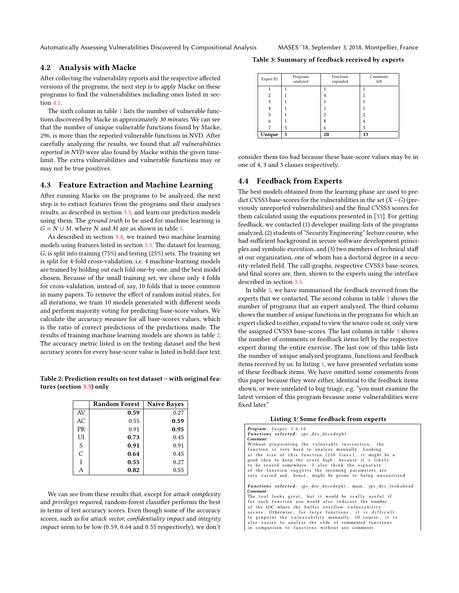Automatically Assessing Vulnerabilities Discovered by Compositional Analysis MASES '18, September 3, 2018, Montpellier, France

#### <span id="page-6-0"></span>4.2 Analysis with Macke

After collecting the vulnerability reports and the respective affected versions of the programs, the next step is to apply Macke on these programs to find the vulnerabilities including ones listed in section [4.1.](#page-5-1)

The sixth column in table [1](#page-5-2) lists the number of vulnerable functions discovered by Macke in approximately 30 minutes. We can see that the number of unique vulnerable functions found by Macke, 296, is more than the reported vulnerable functions in NVD. After carefully analyzing the results, we found that all vulnerabilities reported in NVD were also found by Macke within the given timelimit. The extra vulnerabilities and vulnerable functions may or may not be true positives.

#### <span id="page-6-5"></span>4.3 Feature Extraction and Machine Learning

After running Macke on the programs to be analyzed, the next step is to extract features from the programs and their analyses results, as described in section [3.3,](#page-3-3) and learn our prediction models using them. The ground truth to be used for machine learning is  $G = N \cup M$ , where N and M are as shown in table [1.](#page-5-2)

As described in section [3.4,](#page-3-2) we trained two machine learning models using features listed in section [3.3.](#page-3-3) The dataset for learning, G, is split into training (75%) and testing (25%) sets. The training set is split for 4-fold cross-validation, i.e. 4 machine-learning models are trained by holding out each fold one-by-one, and the best model chosen. Because of the small training set, we chose only 4 folds for cross-validation, instead of, say, 10 folds that is more common in many papers. To remove the effect of random initial states, for all iterations, we train 10 models generated with different seeds and perform majority voting for predicting base-score values. We calculate the accuracy measure for all base-scores values, which is the ratio of correct predictions of the predictions made. The results of training machine learning models are shown in table [2.](#page-6-2) The accuracy metric listed is on the testing dataset and the best accuracy scores for every base-score value is listed in bold-face text.

<span id="page-6-2"></span>Table 2: Prediction results on test dataset – with original features (section [3.3\)](#page-3-3) only

|    | <b>Random Forest</b> | <b>Naive Bayes</b> |
|----|----------------------|--------------------|
| AV | 0.59                 | 0.27               |
| AC | 0.55                 | 0.59               |
| PR | 0.91                 | 0.95               |
| UI | 0.73                 | 0.45               |
| S  | 0.91                 | 0.91               |
| C  | 0.64                 | 0.45               |
|    | 0.55                 | 0.27               |
| А  | 0.82                 | 0.55               |

We can see from these results that, except for attack complexity and privileges required, random-forest classifier performs the best in terms of test accuracy scores. Even though some of the accuracy scores, such as for attack vector, confidentiality impact and integrity impact seem to be low (0.59, <sup>0</sup>.<sup>64</sup> and <sup>0</sup>.<sup>55</sup> respectively), we don't

<span id="page-6-3"></span>Table 3: Summary of feedback received by experts

| Expert ID      | Programs<br>analyzed | Functions<br>expanded | Comments<br>left |
|----------------|----------------------|-----------------------|------------------|
|                |                      |                       |                  |
| $\overline{c}$ |                      |                       |                  |
| 3              |                      |                       |                  |
| 4              |                      |                       |                  |
| 5              |                      | $\mathfrak{D}$        | 2                |
| 6              |                      | 8                     | 4                |
|                | 3                    | 6                     | 3                |
| Unique         | 5                    | 20                    | 13               |

consider them too bad because these base-score values may be in one of 4, 3 and 3 classes respectively.

# <span id="page-6-1"></span>4.4 Feedback from Experts

The best models obtained from the learning phase are used to predict CVSS3 base-scores for the vulnerabilities in the set  $(X - G)$  (previously unreported vulnerabilities) and the final CVSS3 scores for them calculated using the equations presented in [\[33\]](#page-9-5). For getting feedback, we contacted (1) developer mailing-lists of the programs analyzed, (2) students of "Security Engineering" lecture course, who had sufficient background in secure software development principles and symbolic execution, and (3) two members of technical staff at our organization, one of whom has a doctoral degree in a security-related field. The call-graphs, respective CVSS3 base-scores, and final scores are, then, shown to the experts using the interface described in section [3.5.](#page-4-2)

In table [3,](#page-6-3) we have summarized the feedback received from the experts that we contacted. The second column in table [3](#page-6-3) shows the number of programs that an expert analyzed. The third column shows the number of unique functions in the programs for which an expert clicked to either, expand to view the source code or, only view the assigned CVSS3 base-scores. The last column in table [3](#page-6-3) shows the number of comments or feedback items left by the respective expert during the entire exercise. The last row of this table lists the number of unique analyzed programs, functions and feedback items received by us. In listing [1,](#page-6-4) we have presented verbatim some of these feedback items. We have omitted some comments from this paper because they were either, identical to the feedback items shown, or were unrelated to bug triage, e.g. "you must examine the latest version of this program because some vulnerabilities were fixed later."

|  |  | Listing 1: Some feedback from experts |  |  |
|--|--|---------------------------------------|--|--|
|--|--|---------------------------------------|--|--|

<span id="page-6-4"></span>

| Program: Jasper 2.0.10<br>Functions selected: jpc_dec_decodepkt<br>Comment:<br>Without pinpointing the vulnerable instruction, the<br>function is very hard to analyze manually. Looking<br>at the size of this function (250 lines), it might be a<br>good idea to keep the score high, because it's likely<br>to be reused somewhere. I also think the signature<br>of the function suggests the incoming parameters are<br>very varied and, hence, might be prone to being unsanitized       |
|-------------------------------------------------------------------------------------------------------------------------------------------------------------------------------------------------------------------------------------------------------------------------------------------------------------------------------------------------------------------------------------------------------------------------------------------------------------------------------------------------|
| <b>Functions selected</b> : jpc_dec_decodepkt, main, jpc_dec_lookahead<br>Comment:<br>The tool looks great, but it would be really useful if<br>for each function you would also indicate the number<br>of the LOC where the buffer overflow vulnerability<br>occurs. Otherwise, for large functions, it is difficult<br>to pinpoint the vulnerability manually. Of course, it is<br>also easier to analyze the code of commented functions<br>in comparison to functions without any comments. |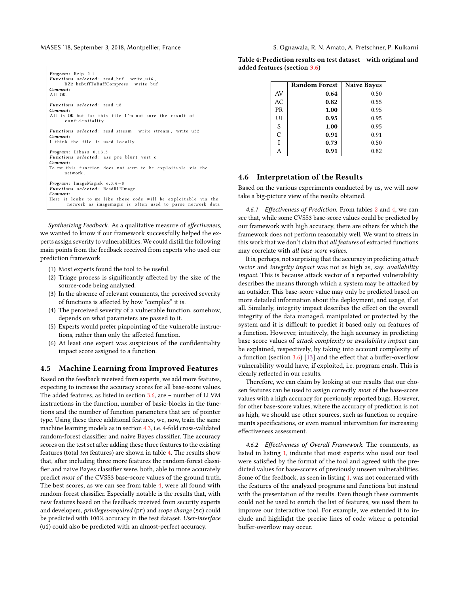#### MASES '18, September 3, 2018, Montpellier, France S. Ognawala, R. N. Amato, A. Pretschner, P. Kulkarni

```
Program: Rzip 2.1
Functions selected: read_buf, write_u16
     BZ2_bzBuffToBuffCompress, write_buf
Comment:
A l \cap KFunctions selected: read_u8
Comment:
All is OK but for this file I'm not sure the result of
     c on fidentiality
Functions selected: read stream, write stream, write u32
Comment:
I think the file is used locally.
Program: Libass 0.13.3
Functions selected: ass_pre_blur1_vert_c
Comment:
To me this function does not seem to be exploitable via the
     ne two rk .
Program: ImageMagick 6.0.4 - 8Functions selected : ReadRLEImage
Comment:
Here it looks to me like those code will be exploitable via the
      network as imagemagic is often used to parse network data
```
Synthesizing Feedback. As a qualitative measure of effectiveness, we wanted to know if our framework successfully helped the experts assign severity to vulnerabilities. We could distill the following main points from the feedback received from experts who used our prediction framework

- (1) Most experts found the tool to be useful.
- (2) Triage process is significantly affected by the size of the source-code being analyzed.
- (3) In the absence of relevant comments, the perceived severity of functions is affected by how "complex" it is.
- (4) The perceived severity of a vulnerable function, somehow, depends on what parameters are passed to it.
- (5) Experts would prefer pinpointing of the vulnerable instructions, rather than only the affected function.
- (6) At least one expert was suspicious of the confidentiality impact score assigned to a function.

#### 4.5 Machine Learning from Improved Features

Based on the feedback received from experts, we add more features, expecting to increase the accuracy scores for all base-score values. The added features, as listed in section [3.6,](#page-5-3) are – number of LLVM instructions in the function, number of basic-blocks in the functions and the number of function parameters that are of pointer type. Using these three additional features, we, now, train the same machine learning models as in section [4.3,](#page-6-5) i.e. 4-fold cross-validated random-forest classifier and naive Bayes classifier. The accuracy scores on the test set after adding these three features to the existing features (total ten features) are shown in table [4.](#page-7-0) The results show that, after including three more features the random-forest classifier and naive Bayes classifier were, both, able to more accurately predict most of the CVSS3 base-score values of the ground truth. The best scores, as we can see from table [4,](#page-7-0) were all found with random-forest classifier. Especially notable is the results that, with new features based on the feedback received from security experts and developers, privileges-required (pr) and scope change (sc) could be predicted with 100% accuracy in the test dataset. User-interface (ui) could also be predicted with an almost-perfect accuracy.

<span id="page-7-0"></span>Table 4: Prediction results on test dataset – with original and added features (section [3.6\)](#page-5-3)

|    | <b>Random Forest</b> | <b>Naive Bayes</b> |
|----|----------------------|--------------------|
| AV | 0.64                 | 0.50               |
| AC | 0.82                 | 0.55               |
| PR | 1.00                 | 0.95               |
| UI | 0.95                 | 0.95               |
| S  | 1.00                 | 0.95               |
| C  | 0.91                 | 0.91               |
| I  | 0.73                 | 0.50               |
| A  | 0.91                 | 0.82               |

#### 4.6 Interpretation of the Results

Based on the various experiments conducted by us, we will now take a big-picture view of the results obtained.

4.6.1 Effectiveness of Prediction. From tables [2](#page-6-2) and [4,](#page-7-0) we can see that, while some CVSS3 base-score values could be predicted by our framework with high accuracy, there are others for which the framework does not perform reasonably well. We want to stress in this work that we don't claim that all features of extracted functions may correlate with all base-score values.

It is, perhaps, not surprising that the accuracy in predicting attack vector and integrity impact was not as high as, say, availability impact. This is because attack vector of a reported vulnerability describes the means through which a system may be attacked by an outsider. This base-score value may only be predicted based on more detailed information about the deployment, and usage, if at all. Similarly, integrity impact describes the effect on the overall integrity of the data managed, manipulated or protected by the system and it is difficult to predict it based only on features of a function. However, intuitively, the high accuracy in predicting base-score values of attack complexity or availability impact can be explained, respectively, by taking into account complexity of a function (section [3.6\)](#page-5-3) [\[13\]](#page-9-20) and the effect that a buffer-overflow vulnerability would have, if exploited, i.e. program crash. This is clearly reflected in our results.

Therefore, we can claim by looking at our results that our chosen features can be used to assign correctly most of the base-score values with a high accuracy for previously reported bugs. However, for other base-score values, where the accuracy of prediction is not as high, we should use other sources, such as function or requirements specifications, or even manual intervention for increasing effectiveness assessment.

4.6.2 Effectiveness of Overall Framework. The comments, as listed in listing [1,](#page-6-4) indicate that most experts who used our tool were satisfied by the format of the tool and agreed with the predicted values for base-scores of previously unseen vulnerabilities. Some of the feedback, as seen in listing [1,](#page-6-4) was not concerned with the features of the analyzed programs and functions but instead with the presentation of the results. Even though these comments could not be used to enrich the list of features, we used them to improve our interactive tool. For example, we extended it to include and highlight the precise lines of code where a potential buffer-overflow may occur.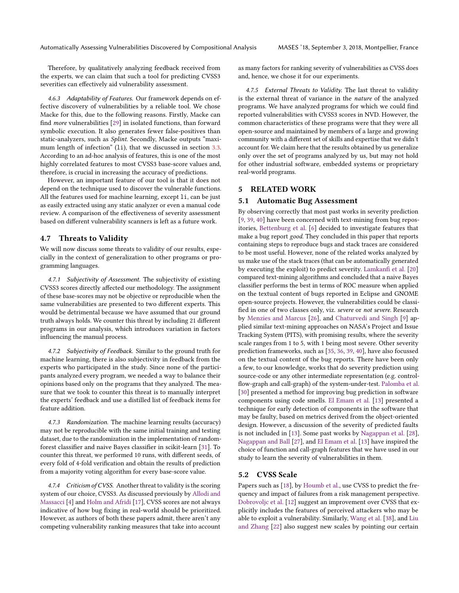Therefore, by qualitatively analyzing feedback received from the experts, we can claim that such a tool for predicting CVSS3 severities can effectively aid vulnerability assessment.

4.6.3 Adaptability of Features. Our framework depends on effective discovery of vulnerabilities by a reliable tool. We chose Macke for this, due to the following reasons. Firstly, Macke can find more vulnerabilities [\[29\]](#page-9-3) in isolated functions, than forward symbolic execution. It also generates fewer false-positives than static-analyzers, such as Splint. Secondly, Macke outputs "maximum length of infection" (li), that we discussed in section [3.3.](#page-3-3) According to an ad-hoc analysis of features, this is one of the most highly correlated features to most CVSS3 base-score values and, therefore, is crucial in increasing the accuracy of predictions.

However, an important feature of our tool is that it does not depend on the technique used to discover the vulnerable functions. All the features used for machine learning, except li, can be just as easily extracted using any static analyzer or even a manual code review. A comparison of the effectiveness of severity assessment based on different vulnerability scanners is left as a future work.

#### 4.7 Threats to Validity

We will now discuss some threats to validity of our results, especially in the context of generalization to other programs or programming languages.

4.7.1 Subjectivity of Assessment. The subjectivity of existing CVSS3 scores directly affected our methodology. The assignment of these base-scores may not be objective or reproducible when the same vulnerabilities are presented to two different experts. This would be detrimental because we have assumed that our ground truth always holds. We counter this threat by including 21 different programs in our analysis, which introduces variation in factors influencing the manual process.

4.7.2 Subjectivity of Feedback. Similar to the ground truth for machine learning, there is also subjectivity in feedback from the experts who participated in the study. Since none of the participants analyzed every program, we needed a way to balance their opinions based only on the programs that they analyzed. The measure that we took to counter this threat is to manually interpret the experts' feedback and use a distilled list of feedback items for feature addition.

4.7.3 Randomization. The machine learning results (accuracy) may not be reproducible with the same initial training and testing dataset, due to the randomization in the implementation of randomforest classifier and naive Bayes classifier in scikit-learn [\[31\]](#page-9-23). To counter this threat, we performed 10 runs, with different seeds, of every fold of 4-fold verification and obtain the results of prediction from a majority voting algorithm for every base-score value.

4.7.4 Criticism of CVSS. Another threat to validity is the scoring system of our choice, CVSS3. As discussed previously by [Allodi and](#page-9-27) [Massacci](#page-9-27) [\[4\]](#page-9-27) and [Holm and Afridi](#page-9-28) [\[17\]](#page-9-28), CVSS scores are not always indicative of how bug fixing in real-world should be prioritized. However, as authors of both these papers admit, there aren't any competing vulnerability ranking measures that take into account

as many factors for ranking severity of vulnerabilities as CVSS does and, hence, we chose it for our experiments.

4.7.5 External Threats to Validity. The last threat to validity is the external threat of variance in the nature of the analyzed programs. We have analyzed programs for which we could find reported vulnerabilities with CVSS3 scores in NVD. However, the common characteristics of these programs were that they were all open-source and maintained by members of a large and growing community with a different set of skills and expertise that we didn't account for. We claim here that the results obtained by us generalize only over the set of programs analyzed by us, but may not hold for other industrial software, embedded systems or proprietary real-world programs.

# <span id="page-8-0"></span>5 RELATED WORK

#### 5.1 Automatic Bug Assessment

By observing correctly that most past works in severity prediction [\[9,](#page-9-29) [39,](#page-9-30) [40\]](#page-9-31) have been concerned with text-mining from bug repositories, [Bettenburg et al.](#page-9-32) [\[6\]](#page-9-32) decided to investigate features that make a bug report good. They concluded in this paper that reports containing steps to reproduce bugs and stack traces are considered to be most useful. However, none of the related works analyzed by us make use of the stack traces (that can be automatically generated by executing the exploit) to predict severity. [Lamkanfi et al.](#page-9-33) [\[20\]](#page-9-33) compared text-mining algorithms and concluded that a naive Bayes classifier performs the best in terms of ROC measure when applied on the textual content of bugs reported in Eclipse and GNOME open-source projects. However, the vulnerabilities could be classified in one of two classes only, viz. severe or not severe. Research by [Menzies and Marcus](#page-9-34) [\[26\]](#page-9-34), and [Chaturvedi and Singh](#page-9-29) [\[9\]](#page-9-29) applied similar text-mining approaches on NASA's Project and Issue Tracking System (PITS), with promising results, where the severity scale ranges from 1 to 5, with 1 being most severe. Other severity prediction frameworks, such as [\[35,](#page-9-35) [36,](#page-9-36) [39,](#page-9-30) [40\]](#page-9-31), have also focussed on the textual content of the bug reports. There have been only a few, to our knowledge, works that do severity prediction using source-code or any other intermediate representation (e.g. controlflow-graph and call-graph) of the system-under-test. [Palomba et al.](#page-9-37) [\[30\]](#page-9-37) presented a method for improving bug prediction in software components using code smells. [El Emam et al.](#page-9-20) [\[13\]](#page-9-20) presented a technique for early detection of components in the software that may be faulty, based on metrics derived from the object-oriented design. However, a discussion of the severity of predicted faults is not included in [\[13\]](#page-9-20). Some past works by [Nagappan et al.](#page-9-21) [\[28\]](#page-9-21), [Nagappan and Ball](#page-9-22) [\[27\]](#page-9-22), and [El Emam et al.](#page-9-20) [\[13\]](#page-9-20) have inspired the choice of function and call-graph features that we have used in our study to learn the severity of vulnerabilities in them.

#### 5.2 CVSS Scale

Papers such as [\[18\]](#page-9-38), by [Houmb et al.,](#page-9-38) use CVSS to predict the frequency and impact of failures from a risk management perspective. [Dobrovoljc et al.](#page-9-39) [\[12\]](#page-9-39) suggest an improvement over CVSS that explicitly includes the features of perceived attackers who may be able to exploit a vulnerability. Similarly, [Wang et al.](#page-9-40) [\[38\]](#page-9-40), and [Liu](#page-9-41) [and Zhang](#page-9-41) [\[22\]](#page-9-41) also suggest new scales by pointing our certain